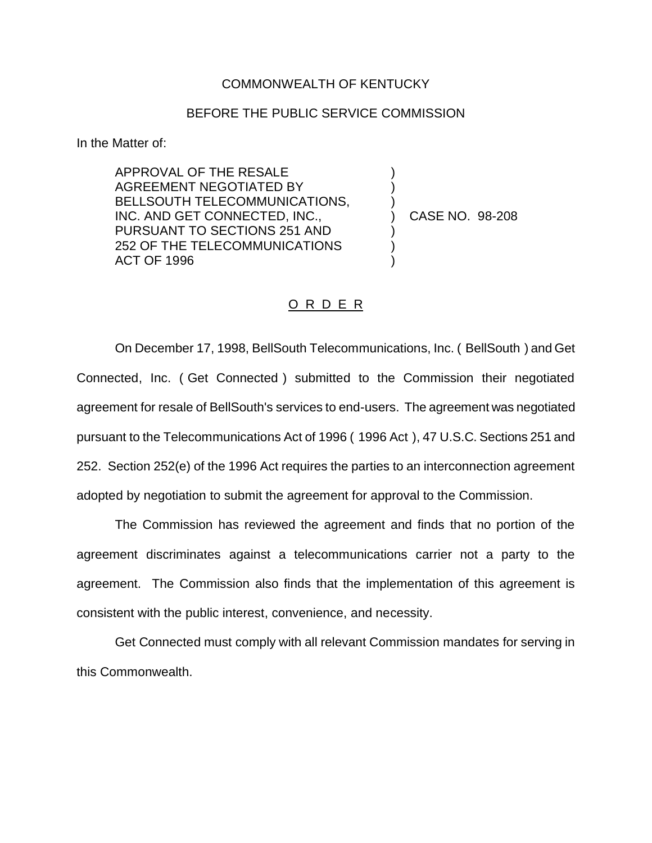## COMMONWEALTH OF KENTUCKY

## BEFORE THE PUBLIC SERVICE COMMISSION

) ) )

) ) )

In the Matter of:

APPROVAL OF THE RESALE AGREEMENT NEGOTIATED BY BELLSOUTH TELECOMMUNICATIONS, INC. AND GET CONNECTED, INC., PURSUANT TO SECTIONS 251 AND 252 OF THE TELECOMMUNICATIONS ACT OF 1996

) CASE NO. 98-208

## O R D E R

On December 17, 1998, BellSouth Telecommunications, Inc. ( BellSouth ) and Get Connected, Inc. ( Get Connected ) submitted to the Commission their negotiated agreement for resale of BellSouth's services to end-users. The agreement was negotiated pursuant to the Telecommunications Act of 1996 ( 1996 Act ), 47 U.S.C. Sections 251 and 252. Section 252(e) of the 1996 Act requires the parties to an interconnection agreement adopted by negotiation to submit the agreement for approval to the Commission.

The Commission has reviewed the agreement and finds that no portion of the agreement discriminates against a telecommunications carrier not a party to the agreement. The Commission also finds that the implementation of this agreement is consistent with the public interest, convenience, and necessity.

Get Connected must comply with all relevant Commission mandates for serving in this Commonwealth.